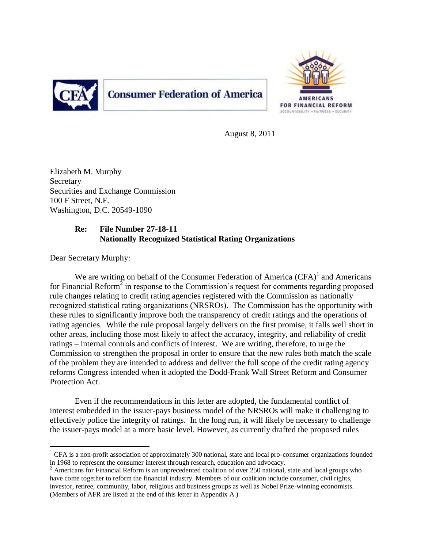

# **Consumer Federation of America**



August 8, 2011

Elizabeth M. Murphy Secretary Securities and Exchange Commission 100 F Street, N.E. Washington, D.C. 20549-1090

## **Re: File Number 27-18-11 Nationally Recognized Statistical Rating Organizations**

Dear Secretary Murphy:

We are writing on behalf of the Consumer Federation of America  $(CFA)^{1}$  and Americans for Financial Reform<sup>2</sup> in response to the Commission's request for comments regarding proposed rule changes relating to credit rating agencies registered with the Commission as nationally recognized statistical rating organizations (NRSROs). The Commission has the opportunity with these rules to significantly improve both the transparency of credit ratings and the operations of rating agencies. While the rule proposal largely delivers on the first promise, it falls well short in other areas, including those most likely to affect the accuracy, integrity, and reliability of credit ratings – internal controls and conflicts of interest. We are writing, therefore, to urge the Commission to strengthen the proposal in order to ensure that the new rules both match the scale of the problem they are intended to address and deliver the full scope of the credit rating agency reforms Congress intended when it adopted the Dodd-Frank Wall Street Reform and Consumer Protection Act.

Even if the recommendations in this letter are adopted, the fundamental conflict of interest embedded in the issuer-pays business model of the NRSROs will make it challenging to effectively police the integrity of ratings. In the long run, it will likely be necessary to challenge the issuer-pays model at a more basic level. However, as currently drafted the proposed rules

 $\overline{a}$ <sup>1</sup> CFA is a non-profit association of approximately 300 national, state and local pro-consumer organizations founded in 1968 to represent the consumer interest through research, education and advocacy.

 $2 \text{ Americans}$  for Financial Reform is an unprecedented coalition of over 250 national, state and local groups who have come together to reform the financial industry. Members of our coalition include consumer, civil rights, investor, retiree, community, labor, religious and business groups as well as Nobel Prize-winning economists. (Members of AFR are listed at the end of this letter in Appendix A.)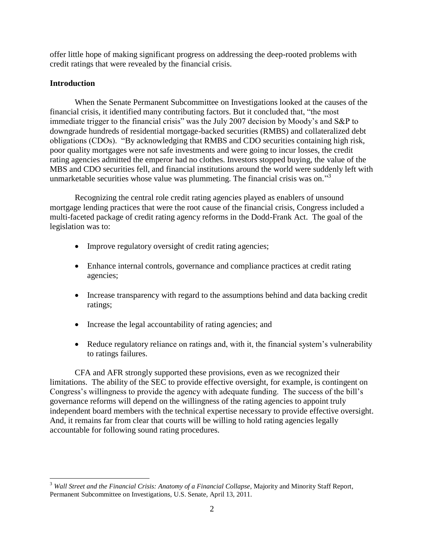offer little hope of making significant progress on addressing the deep-rooted problems with credit ratings that were revealed by the financial crisis.

## **Introduction**

When the Senate Permanent Subcommittee on Investigations looked at the causes of the financial crisis, it identified many contributing factors. But it concluded that, "the most immediate trigger to the financial crisis" was the July 2007 decision by Moody"s and S&P to downgrade hundreds of residential mortgage-backed securities (RMBS) and collateralized debt obligations (CDOs). "By acknowledging that RMBS and CDO securities containing high risk, poor quality mortgages were not safe investments and were going to incur losses, the credit rating agencies admitted the emperor had no clothes. Investors stopped buying, the value of the MBS and CDO securities fell, and financial institutions around the world were suddenly left with unmarketable securities whose value was plummeting. The financial crisis was on."<sup>3</sup>

Recognizing the central role credit rating agencies played as enablers of unsound mortgage lending practices that were the root cause of the financial crisis, Congress included a multi-faceted package of credit rating agency reforms in the Dodd-Frank Act. The goal of the legislation was to:

- Improve regulatory oversight of credit rating agencies;
- Enhance internal controls, governance and compliance practices at credit rating agencies;
- Increase transparency with regard to the assumptions behind and data backing credit ratings;
- Increase the legal accountability of rating agencies; and
- Reduce regulatory reliance on ratings and, with it, the financial system's vulnerability to ratings failures.

CFA and AFR strongly supported these provisions, even as we recognized their limitations. The ability of the SEC to provide effective oversight, for example, is contingent on Congress's willingness to provide the agency with adequate funding. The success of the bill's governance reforms will depend on the willingness of the rating agencies to appoint truly independent board members with the technical expertise necessary to provide effective oversight. And, it remains far from clear that courts will be willing to hold rating agencies legally accountable for following sound rating procedures.

 $\overline{a}$ <sup>3</sup> *Wall Street and the Financial Crisis: Anatomy of a Financial Collapse*, Majority and Minority Staff Report, Permanent Subcommittee on Investigations, U.S. Senate, April 13, 2011.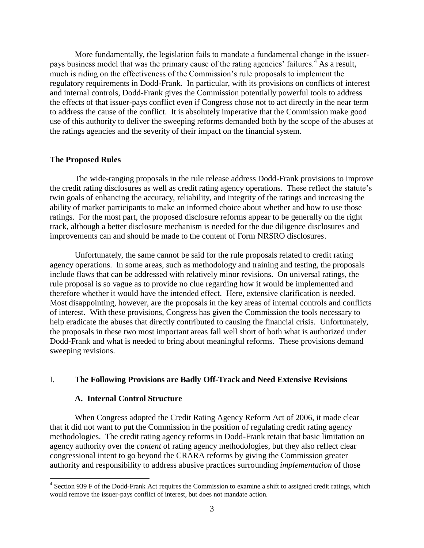More fundamentally, the legislation fails to mandate a fundamental change in the issuerpays business model that was the primary cause of the rating agencies' failures.<sup>4</sup> As a result, much is riding on the effectiveness of the Commission"s rule proposals to implement the regulatory requirements in Dodd-Frank. In particular, with its provisions on conflicts of interest and internal controls, Dodd-Frank gives the Commission potentially powerful tools to address the effects of that issuer-pays conflict even if Congress chose not to act directly in the near term to address the cause of the conflict. It is absolutely imperative that the Commission make good use of this authority to deliver the sweeping reforms demanded both by the scope of the abuses at the ratings agencies and the severity of their impact on the financial system.

## **The Proposed Rules**

The wide-ranging proposals in the rule release address Dodd-Frank provisions to improve the credit rating disclosures as well as credit rating agency operations. These reflect the statute"s twin goals of enhancing the accuracy, reliability, and integrity of the ratings and increasing the ability of market participants to make an informed choice about whether and how to use those ratings. For the most part, the proposed disclosure reforms appear to be generally on the right track, although a better disclosure mechanism is needed for the due diligence disclosures and improvements can and should be made to the content of Form NRSRO disclosures.

Unfortunately, the same cannot be said for the rule proposals related to credit rating agency operations. In some areas, such as methodology and training and testing, the proposals include flaws that can be addressed with relatively minor revisions. On universal ratings, the rule proposal is so vague as to provide no clue regarding how it would be implemented and therefore whether it would have the intended effect. Here, extensive clarification is needed. Most disappointing, however, are the proposals in the key areas of internal controls and conflicts of interest. With these provisions, Congress has given the Commission the tools necessary to help eradicate the abuses that directly contributed to causing the financial crisis. Unfortunately, the proposals in these two most important areas fall well short of both what is authorized under Dodd-Frank and what is needed to bring about meaningful reforms. These provisions demand sweeping revisions.

## I. **The Following Provisions are Badly Off-Track and Need Extensive Revisions**

#### **A. Internal Control Structure**

When Congress adopted the Credit Rating Agency Reform Act of 2006, it made clear that it did not want to put the Commission in the position of regulating credit rating agency methodologies. The credit rating agency reforms in Dodd-Frank retain that basic limitation on agency authority over the *content* of rating agency methodologies, but they also reflect clear congressional intent to go beyond the CRARA reforms by giving the Commission greater authority and responsibility to address abusive practices surrounding *implementation* of those

 4 Section 939 F of the Dodd-Frank Act requires the Commission to examine a shift to assigned credit ratings, which would remove the issuer-pays conflict of interest, but does not mandate action.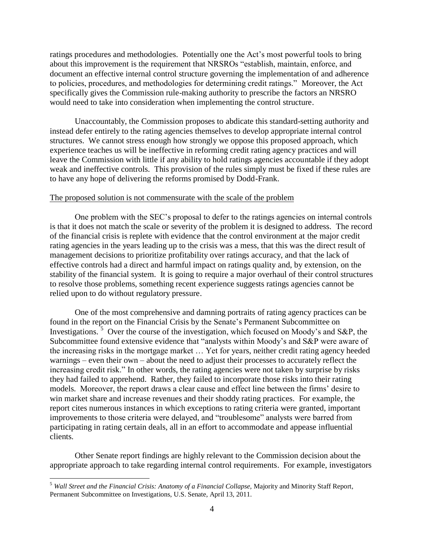ratings procedures and methodologies. Potentially one the Act"s most powerful tools to bring about this improvement is the requirement that NRSROs "establish, maintain, enforce, and document an effective internal control structure governing the implementation of and adherence to policies, procedures, and methodologies for determining credit ratings." Moreover, the Act specifically gives the Commission rule-making authority to prescribe the factors an NRSRO would need to take into consideration when implementing the control structure.

Unaccountably, the Commission proposes to abdicate this standard-setting authority and instead defer entirely to the rating agencies themselves to develop appropriate internal control structures. We cannot stress enough how strongly we oppose this proposed approach, which experience teaches us will be ineffective in reforming credit rating agency practices and will leave the Commission with little if any ability to hold ratings agencies accountable if they adopt weak and ineffective controls. This provision of the rules simply must be fixed if these rules are to have any hope of delivering the reforms promised by Dodd-Frank.

#### The proposed solution is not commensurate with the scale of the problem

One problem with the SEC"s proposal to defer to the ratings agencies on internal controls is that it does not match the scale or severity of the problem it is designed to address. The record of the financial crisis is replete with evidence that the control environment at the major credit rating agencies in the years leading up to the crisis was a mess, that this was the direct result of management decisions to prioritize profitability over ratings accuracy, and that the lack of effective controls had a direct and harmful impact on ratings quality and, by extension, on the stability of the financial system. It is going to require a major overhaul of their control structures to resolve those problems, something recent experience suggests ratings agencies cannot be relied upon to do without regulatory pressure.

One of the most comprehensive and damning portraits of rating agency practices can be found in the report on the Financial Crisis by the Senate"s Permanent Subcommittee on Investigations.<sup>5</sup> Over the course of the investigation, which focused on Moody's and S&P, the Subcommittee found extensive evidence that "analysts within Moody"s and S&P were aware of the increasing risks in the mortgage market … Yet for years, neither credit rating agency heeded warnings – even their own – about the need to adjust their processes to accurately reflect the increasing credit risk." In other words, the rating agencies were not taken by surprise by risks they had failed to apprehend. Rather, they failed to incorporate those risks into their rating models. Moreover, the report draws a clear cause and effect line between the firms' desire to win market share and increase revenues and their shoddy rating practices. For example, the report cites numerous instances in which exceptions to rating criteria were granted, important improvements to those criteria were delayed, and "troublesome" analysts were barred from participating in rating certain deals, all in an effort to accommodate and appease influential clients.

Other Senate report findings are highly relevant to the Commission decision about the appropriate approach to take regarding internal control requirements. For example, investigators

<sup>5</sup> *Wall Street and the Financial Crisis: Anatomy of a Financial Collapse,* Majority and Minority Staff Report, Permanent Subcommittee on Investigations, U.S. Senate, April 13, 2011.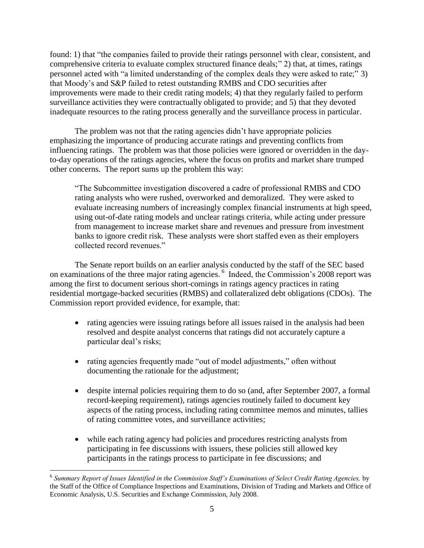found: 1) that "the companies failed to provide their ratings personnel with clear, consistent, and comprehensive criteria to evaluate complex structured finance deals;" 2) that, at times, ratings personnel acted with "a limited understanding of the complex deals they were asked to rate;" 3) that Moody"s and S&P failed to retest outstanding RMBS and CDO securities after improvements were made to their credit rating models; 4) that they regularly failed to perform surveillance activities they were contractually obligated to provide; and 5) that they devoted inadequate resources to the rating process generally and the surveillance process in particular.

The problem was not that the rating agencies didn"t have appropriate policies emphasizing the importance of producing accurate ratings and preventing conflicts from influencing ratings. The problem was that those policies were ignored or overridden in the dayto-day operations of the ratings agencies, where the focus on profits and market share trumped other concerns. The report sums up the problem this way:

"The Subcommittee investigation discovered a cadre of professional RMBS and CDO rating analysts who were rushed, overworked and demoralized. They were asked to evaluate increasing numbers of increasingly complex financial instruments at high speed, using out-of-date rating models and unclear ratings criteria, while acting under pressure from management to increase market share and revenues and pressure from investment banks to ignore credit risk. These analysts were short staffed even as their employers collected record revenues."

The Senate report builds on an earlier analysis conducted by the staff of the SEC based on examinations of the three major rating agencies. <sup>6</sup> Indeed, the Commission's 2008 report was among the first to document serious short-comings in ratings agency practices in rating residential mortgage-backed securities (RMBS) and collateralized debt obligations (CDOs). The Commission report provided evidence, for example, that:

- rating agencies were issuing ratings before all issues raised in the analysis had been resolved and despite analyst concerns that ratings did not accurately capture a particular deal's risks;
- rating agencies frequently made "out of model adjustments," often without documenting the rationale for the adjustment;
- despite internal policies requiring them to do so (and, after September 2007, a formal record-keeping requirement), ratings agencies routinely failed to document key aspects of the rating process, including rating committee memos and minutes, tallies of rating committee votes, and surveillance activities;
- while each rating agency had policies and procedures restricting analysts from participating in fee discussions with issuers, these policies still allowed key participants in the ratings process to participate in fee discussions; and

<sup>&</sup>lt;sup>6</sup> Summary Report of Issues Identified in the Commission Staff's Examinations of Select Credit Rating Agencies, by the Staff of the Office of Compliance Inspections and Examinations, Division of Trading and Markets and Office of Economic Analysis, U.S. Securities and Exchange Commission, July 2008.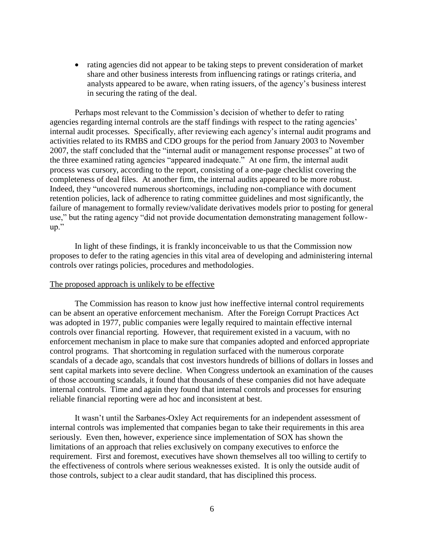rating agencies did not appear to be taking steps to prevent consideration of market share and other business interests from influencing ratings or ratings criteria, and analysts appeared to be aware, when rating issuers, of the agency"s business interest in securing the rating of the deal.

Perhaps most relevant to the Commission"s decision of whether to defer to rating agencies regarding internal controls are the staff findings with respect to the rating agencies' internal audit processes. Specifically, after reviewing each agency"s internal audit programs and activities related to its RMBS and CDO groups for the period from January 2003 to November 2007, the staff concluded that the "internal audit or management response processes" at two of the three examined rating agencies "appeared inadequate." At one firm, the internal audit process was cursory, according to the report, consisting of a one-page checklist covering the completeness of deal files. At another firm, the internal audits appeared to be more robust. Indeed, they "uncovered numerous shortcomings, including non-compliance with document retention policies, lack of adherence to rating committee guidelines and most significantly, the failure of management to formally review/validate derivatives models prior to posting for general use," but the rating agency "did not provide documentation demonstrating management followup."

In light of these findings, it is frankly inconceivable to us that the Commission now proposes to defer to the rating agencies in this vital area of developing and administering internal controls over ratings policies, procedures and methodologies.

#### The proposed approach is unlikely to be effective

The Commission has reason to know just how ineffective internal control requirements can be absent an operative enforcement mechanism. After the Foreign Corrupt Practices Act was adopted in 1977, public companies were legally required to maintain effective internal controls over financial reporting. However, that requirement existed in a vacuum, with no enforcement mechanism in place to make sure that companies adopted and enforced appropriate control programs. That shortcoming in regulation surfaced with the numerous corporate scandals of a decade ago, scandals that cost investors hundreds of billions of dollars in losses and sent capital markets into severe decline. When Congress undertook an examination of the causes of those accounting scandals, it found that thousands of these companies did not have adequate internal controls. Time and again they found that internal controls and processes for ensuring reliable financial reporting were ad hoc and inconsistent at best.

It wasn"t until the Sarbanes-Oxley Act requirements for an independent assessment of internal controls was implemented that companies began to take their requirements in this area seriously. Even then, however, experience since implementation of SOX has shown the limitations of an approach that relies exclusively on company executives to enforce the requirement. First and foremost, executives have shown themselves all too willing to certify to the effectiveness of controls where serious weaknesses existed. It is only the outside audit of those controls, subject to a clear audit standard, that has disciplined this process.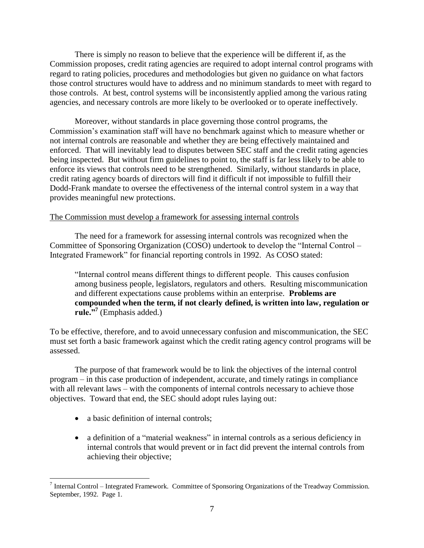There is simply no reason to believe that the experience will be different if, as the Commission proposes, credit rating agencies are required to adopt internal control programs with regard to rating policies, procedures and methodologies but given no guidance on what factors those control structures would have to address and no minimum standards to meet with regard to those controls. At best, control systems will be inconsistently applied among the various rating agencies, and necessary controls are more likely to be overlooked or to operate ineffectively.

Moreover, without standards in place governing those control programs, the Commission"s examination staff will have no benchmark against which to measure whether or not internal controls are reasonable and whether they are being effectively maintained and enforced. That will inevitably lead to disputes between SEC staff and the credit rating agencies being inspected. But without firm guidelines to point to, the staff is far less likely to be able to enforce its views that controls need to be strengthened. Similarly, without standards in place, credit rating agency boards of directors will find it difficult if not impossible to fulfill their Dodd-Frank mandate to oversee the effectiveness of the internal control system in a way that provides meaningful new protections.

## The Commission must develop a framework for assessing internal controls

The need for a framework for assessing internal controls was recognized when the Committee of Sponsoring Organization (COSO) undertook to develop the "Internal Control – Integrated Framework" for financial reporting controls in 1992. As COSO stated:

"Internal control means different things to different people. This causes confusion among business people, legislators, regulators and others. Resulting miscommunication and different expectations cause problems within an enterprise. **Problems are compounded when the term, if not clearly defined, is written into law, regulation or rule."<sup>7</sup>** (Emphasis added.)

To be effective, therefore, and to avoid unnecessary confusion and miscommunication, the SEC must set forth a basic framework against which the credit rating agency control programs will be assessed.

The purpose of that framework would be to link the objectives of the internal control program – in this case production of independent, accurate, and timely ratings in compliance with all relevant laws – with the components of internal controls necessary to achieve those objectives. Toward that end, the SEC should adopt rules laying out:

• a basic definition of internal controls;

 $\overline{a}$ 

• a definition of a "material weakness" in internal controls as a serious deficiency in internal controls that would prevent or in fact did prevent the internal controls from achieving their objective;

 $<sup>7</sup>$  Internal Control – Integrated Framework. Committee of Sponsoring Organizations of the Treadway Commission.</sup> September, 1992. Page 1.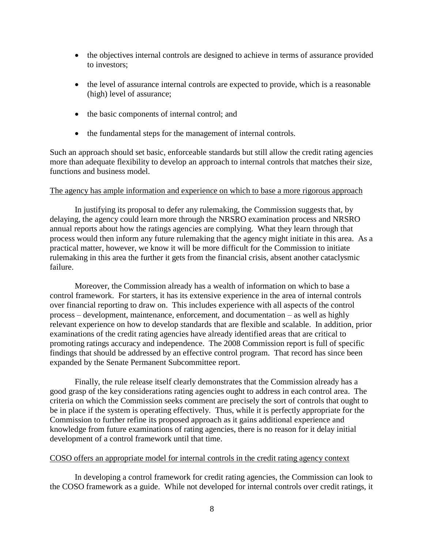- the objectives internal controls are designed to achieve in terms of assurance provided to investors;
- the level of assurance internal controls are expected to provide, which is a reasonable (high) level of assurance;
- the basic components of internal control; and
- the fundamental steps for the management of internal controls.

Such an approach should set basic, enforceable standards but still allow the credit rating agencies more than adequate flexibility to develop an approach to internal controls that matches their size, functions and business model.

## The agency has ample information and experience on which to base a more rigorous approach

In justifying its proposal to defer any rulemaking, the Commission suggests that, by delaying, the agency could learn more through the NRSRO examination process and NRSRO annual reports about how the ratings agencies are complying. What they learn through that process would then inform any future rulemaking that the agency might initiate in this area. As a practical matter, however, we know it will be more difficult for the Commission to initiate rulemaking in this area the further it gets from the financial crisis, absent another cataclysmic failure.

Moreover, the Commission already has a wealth of information on which to base a control framework. For starters, it has its extensive experience in the area of internal controls over financial reporting to draw on. This includes experience with all aspects of the control process – development, maintenance, enforcement, and documentation – as well as highly relevant experience on how to develop standards that are flexible and scalable. In addition, prior examinations of the credit rating agencies have already identified areas that are critical to promoting ratings accuracy and independence. The 2008 Commission report is full of specific findings that should be addressed by an effective control program. That record has since been expanded by the Senate Permanent Subcommittee report.

Finally, the rule release itself clearly demonstrates that the Commission already has a good grasp of the key considerations rating agencies ought to address in each control area. The criteria on which the Commission seeks comment are precisely the sort of controls that ought to be in place if the system is operating effectively. Thus, while it is perfectly appropriate for the Commission to further refine its proposed approach as it gains additional experience and knowledge from future examinations of rating agencies, there is no reason for it delay initial development of a control framework until that time.

#### COSO offers an appropriate model for internal controls in the credit rating agency context

In developing a control framework for credit rating agencies, the Commission can look to the COSO framework as a guide. While not developed for internal controls over credit ratings, it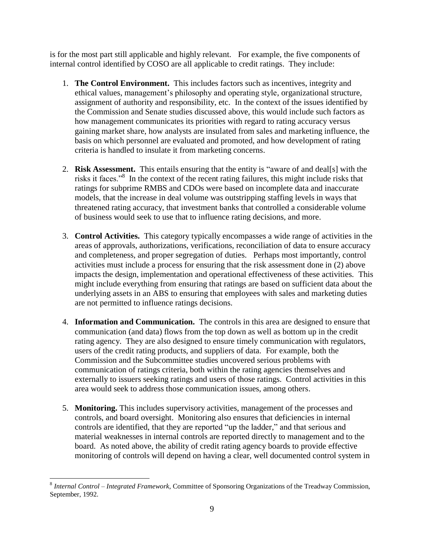is for the most part still applicable and highly relevant. For example, the five components of internal control identified by COSO are all applicable to credit ratings. They include:

- 1. **The Control Environment.** This includes factors such as incentives, integrity and ethical values, management's philosophy and operating style, organizational structure, assignment of authority and responsibility, etc. In the context of the issues identified by the Commission and Senate studies discussed above, this would include such factors as how management communicates its priorities with regard to rating accuracy versus gaining market share, how analysts are insulated from sales and marketing influence, the basis on which personnel are evaluated and promoted, and how development of rating criteria is handled to insulate it from marketing concerns.
- 2. **Risk Assessment.** This entails ensuring that the entity is "aware of and deal[s] with the risks it faces."<sup>8</sup> In the context of the recent rating failures, this might include risks that ratings for subprime RMBS and CDOs were based on incomplete data and inaccurate models, that the increase in deal volume was outstripping staffing levels in ways that threatened rating accuracy, that investment banks that controlled a considerable volume of business would seek to use that to influence rating decisions, and more.
- 3. **Control Activities.** This category typically encompasses a wide range of activities in the areas of approvals, authorizations, verifications, reconciliation of data to ensure accuracy and completeness, and proper segregation of duties. Perhaps most importantly, control activities must include a process for ensuring that the risk assessment done in (2) above impacts the design, implementation and operational effectiveness of these activities. This might include everything from ensuring that ratings are based on sufficient data about the underlying assets in an ABS to ensuring that employees with sales and marketing duties are not permitted to influence ratings decisions.
- 4. **Information and Communication.** The controls in this area are designed to ensure that communication (and data) flows from the top down as well as bottom up in the credit rating agency. They are also designed to ensure timely communication with regulators, users of the credit rating products, and suppliers of data. For example, both the Commission and the Subcommittee studies uncovered serious problems with communication of ratings criteria, both within the rating agencies themselves and externally to issuers seeking ratings and users of those ratings. Control activities in this area would seek to address those communication issues, among others.
- 5. **Monitoring.** This includes supervisory activities, management of the processes and controls, and board oversight. Monitoring also ensures that deficiencies in internal controls are identified, that they are reported "up the ladder," and that serious and material weaknesses in internal controls are reported directly to management and to the board. As noted above, the ability of credit rating agency boards to provide effective monitoring of controls will depend on having a clear, well documented control system in

 8 *Internal Control – Integrated Framework*, Committee of Sponsoring Organizations of the Treadway Commission, September, 1992.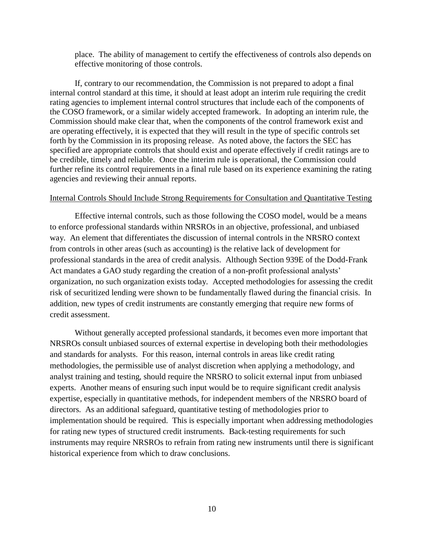place. The ability of management to certify the effectiveness of controls also depends on effective monitoring of those controls.

If, contrary to our recommendation, the Commission is not prepared to adopt a final internal control standard at this time, it should at least adopt an interim rule requiring the credit rating agencies to implement internal control structures that include each of the components of the COSO framework, or a similar widely accepted framework. In adopting an interim rule, the Commission should make clear that, when the components of the control framework exist and are operating effectively, it is expected that they will result in the type of specific controls set forth by the Commission in its proposing release. As noted above, the factors the SEC has specified are appropriate controls that should exist and operate effectively if credit ratings are to be credible, timely and reliable. Once the interim rule is operational, the Commission could further refine its control requirements in a final rule based on its experience examining the rating agencies and reviewing their annual reports.

### Internal Controls Should Include Strong Requirements for Consultation and Quantitative Testing

Effective internal controls, such as those following the COSO model, would be a means to enforce professional standards within NRSROs in an objective, professional, and unbiased way. An element that differentiates the discussion of internal controls in the NRSRO context from controls in other areas (such as accounting) is the relative lack of development for professional standards in the area of credit analysis. Although Section 939E of the Dodd-Frank Act mandates a GAO study regarding the creation of a non-profit professional analysts' organization, no such organization exists today. Accepted methodologies for assessing the credit risk of securitized lending were shown to be fundamentally flawed during the financial crisis. In addition, new types of credit instruments are constantly emerging that require new forms of credit assessment.

Without generally accepted professional standards, it becomes even more important that NRSROs consult unbiased sources of external expertise in developing both their methodologies and standards for analysts. For this reason, internal controls in areas like credit rating methodologies, the permissible use of analyst discretion when applying a methodology, and analyst training and testing, should require the NRSRO to solicit external input from unbiased experts. Another means of ensuring such input would be to require significant credit analysis expertise, especially in quantitative methods, for independent members of the NRSRO board of directors. As an additional safeguard, quantitative testing of methodologies prior to implementation should be required. This is especially important when addressing methodologies for rating new types of structured credit instruments. Back-testing requirements for such instruments may require NRSROs to refrain from rating new instruments until there is significant historical experience from which to draw conclusions.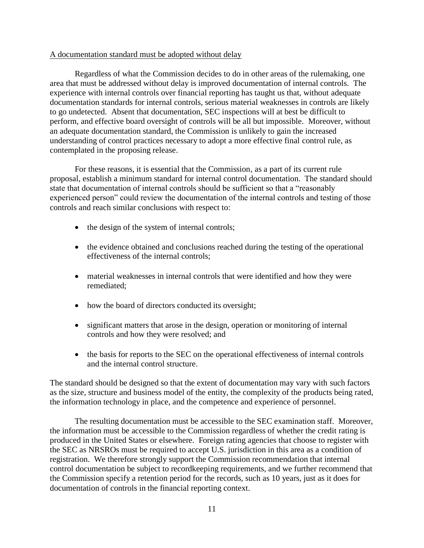### A documentation standard must be adopted without delay

Regardless of what the Commission decides to do in other areas of the rulemaking, one area that must be addressed without delay is improved documentation of internal controls. The experience with internal controls over financial reporting has taught us that, without adequate documentation standards for internal controls, serious material weaknesses in controls are likely to go undetected. Absent that documentation, SEC inspections will at best be difficult to perform, and effective board oversight of controls will be all but impossible. Moreover, without an adequate documentation standard, the Commission is unlikely to gain the increased understanding of control practices necessary to adopt a more effective final control rule, as contemplated in the proposing release.

For these reasons, it is essential that the Commission, as a part of its current rule proposal, establish a minimum standard for internal control documentation. The standard should state that documentation of internal controls should be sufficient so that a "reasonably experienced person" could review the documentation of the internal controls and testing of those controls and reach similar conclusions with respect to:

- the design of the system of internal controls;
- the evidence obtained and conclusions reached during the testing of the operational effectiveness of the internal controls;
- material weaknesses in internal controls that were identified and how they were remediated;
- how the board of directors conducted its oversight;
- significant matters that arose in the design, operation or monitoring of internal controls and how they were resolved; and
- the basis for reports to the SEC on the operational effectiveness of internal controls and the internal control structure.

The standard should be designed so that the extent of documentation may vary with such factors as the size, structure and business model of the entity, the complexity of the products being rated, the information technology in place, and the competence and experience of personnel.

The resulting documentation must be accessible to the SEC examination staff. Moreover, the information must be accessible to the Commission regardless of whether the credit rating is produced in the United States or elsewhere. Foreign rating agencies that choose to register with the SEC as NRSROs must be required to accept U.S. jurisdiction in this area as a condition of registration. We therefore strongly support the Commission recommendation that internal control documentation be subject to recordkeeping requirements, and we further recommend that the Commission specify a retention period for the records, such as 10 years, just as it does for documentation of controls in the financial reporting context.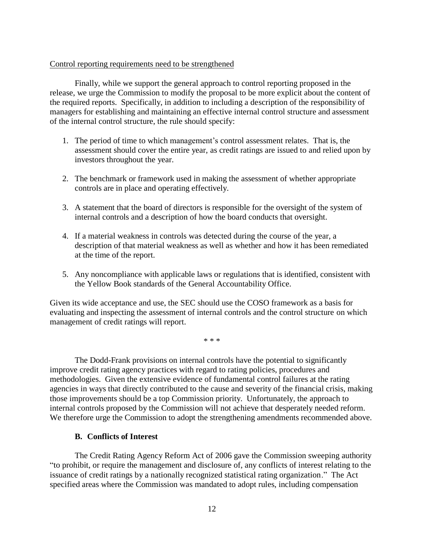#### Control reporting requirements need to be strengthened

Finally, while we support the general approach to control reporting proposed in the release, we urge the Commission to modify the proposal to be more explicit about the content of the required reports. Specifically, in addition to including a description of the responsibility of managers for establishing and maintaining an effective internal control structure and assessment of the internal control structure, the rule should specify:

- 1. The period of time to which management"s control assessment relates. That is, the assessment should cover the entire year, as credit ratings are issued to and relied upon by investors throughout the year.
- 2. The benchmark or framework used in making the assessment of whether appropriate controls are in place and operating effectively.
- 3. A statement that the board of directors is responsible for the oversight of the system of internal controls and a description of how the board conducts that oversight.
- 4. If a material weakness in controls was detected during the course of the year, a description of that material weakness as well as whether and how it has been remediated at the time of the report.
- 5. Any noncompliance with applicable laws or regulations that is identified, consistent with the Yellow Book standards of the General Accountability Office.

Given its wide acceptance and use, the SEC should use the COSO framework as a basis for evaluating and inspecting the assessment of internal controls and the control structure on which management of credit ratings will report.

\* \* \*

The Dodd-Frank provisions on internal controls have the potential to significantly improve credit rating agency practices with regard to rating policies, procedures and methodologies. Given the extensive evidence of fundamental control failures at the rating agencies in ways that directly contributed to the cause and severity of the financial crisis, making those improvements should be a top Commission priority. Unfortunately, the approach to internal controls proposed by the Commission will not achieve that desperately needed reform. We therefore urge the Commission to adopt the strengthening amendments recommended above.

#### **B. Conflicts of Interest**

The Credit Rating Agency Reform Act of 2006 gave the Commission sweeping authority "to prohibit, or require the management and disclosure of, any conflicts of interest relating to the issuance of credit ratings by a nationally recognized statistical rating organization." The Act specified areas where the Commission was mandated to adopt rules, including compensation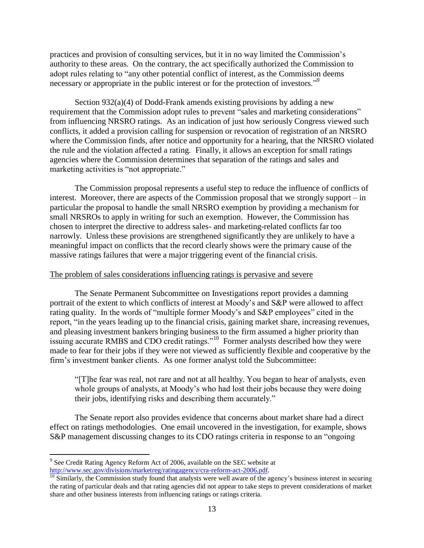practices and provision of consulting services, but it in no way limited the Commission"s authority to these areas. On the contrary, the act specifically authorized the Commission to adopt rules relating to "any other potential conflict of interest, as the Commission deems necessary or appropriate in the public interest or for the protection of investors."<sup>9</sup>

Section 932(a)(4) of Dodd-Frank amends existing provisions by adding a new requirement that the Commission adopt rules to prevent "sales and marketing considerations" from influencing NRSRO ratings. As an indication of just how seriously Congress viewed such conflicts, it added a provision calling for suspension or revocation of registration of an NRSRO where the Commission finds, after notice and opportunity for a hearing, that the NRSRO violated the rule and the violation affected a rating. Finally, it allows an exception for small ratings agencies where the Commission determines that separation of the ratings and sales and marketing activities is "not appropriate."

The Commission proposal represents a useful step to reduce the influence of conflicts of interest. Moreover, there are aspects of the Commission proposal that we strongly support – in particular the proposal to handle the small NRSRO exemption by providing a mechanism for small NRSROs to apply in writing for such an exemption. However, the Commission has chosen to interpret the directive to address sales- and marketing-related conflicts far too narrowly. Unless these provisions are strengthened significantly they are unlikely to have a meaningful impact on conflicts that the record clearly shows were the primary cause of the massive ratings failures that were a major triggering event of the financial crisis.

## The problem of sales considerations influencing ratings is pervasive and severe

The Senate Permanent Subcommittee on Investigations report provides a damning portrait of the extent to which conflicts of interest at Moody"s and S&P were allowed to affect rating quality. In the words of "multiple former Moody"s and S&P employees" cited in the report, "in the years leading up to the financial crisis, gaining market share, increasing revenues, and pleasing investment bankers bringing business to the firm assumed a higher priority than issuing accurate RMBS and CDO credit ratings."<sup>10</sup> Former analysts described how they were made to fear for their jobs if they were not viewed as sufficiently flexible and cooperative by the firm"s investment banker clients. As one former analyst told the Subcommittee:

"[T]he fear was real, not rare and not at all healthy. You began to hear of analysts, even whole groups of analysts, at Moody's who had lost their jobs because they were doing their jobs, identifying risks and describing them accurately."

The Senate report also provides evidence that concerns about market share had a direct effect on ratings methodologies. One email uncovered in the investigation, for example, shows S&P management discussing changes to its CDO ratings criteria in response to an "ongoing

<sup>&</sup>lt;sup>9</sup> See Credit Rating Agency Reform Act of 2006, available on the SEC website at [http://www.sec.gov/divisions/marketreg/ratingagency/cra-reform-act-2006.pdf.](http://www.sec.gov/divisions/marketreg/ratingagency/cra-reform-act-2006.pdf)

 $\frac{10}{10}$  Similarly, the Commission study found that analysts were well aware of the agency's business interest in securing the rating of particular deals and that rating agencies did not appear to take steps to prevent considerations of market share and other business interests from influencing ratings or ratings criteria.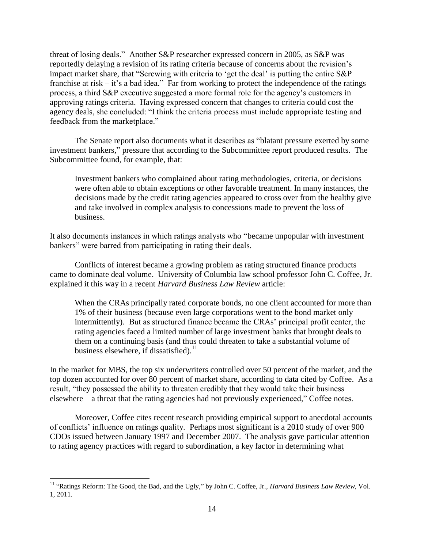threat of losing deals." Another S&P researcher expressed concern in 2005, as S&P was reportedly delaying a revision of its rating criteria because of concerns about the revision"s impact market share, that "Screwing with criteria to 'get the deal' is putting the entire S&P franchise at risk – it's a bad idea." Far from working to protect the independence of the ratings process, a third S&P executive suggested a more formal role for the agency"s customers in approving ratings criteria. Having expressed concern that changes to criteria could cost the agency deals, she concluded: "I think the criteria process must include appropriate testing and feedback from the marketplace."

The Senate report also documents what it describes as "blatant pressure exerted by some investment bankers," pressure that according to the Subcommittee report produced results. The Subcommittee found, for example, that:

Investment bankers who complained about rating methodologies, criteria, or decisions were often able to obtain exceptions or other favorable treatment. In many instances, the decisions made by the credit rating agencies appeared to cross over from the healthy give and take involved in complex analysis to concessions made to prevent the loss of business.

It also documents instances in which ratings analysts who "became unpopular with investment bankers" were barred from participating in rating their deals.

Conflicts of interest became a growing problem as rating structured finance products came to dominate deal volume. University of Columbia law school professor John C. Coffee, Jr. explained it this way in a recent *Harvard Business Law Review* article:

When the CRAs principally rated corporate bonds, no one client accounted for more than 1% of their business (because even large corporations went to the bond market only intermittently). But as structured finance became the CRAs' principal profit center, the rating agencies faced a limited number of large investment banks that brought deals to them on a continuing basis (and thus could threaten to take a substantial volume of business elsewhere, if dissatisfied). $^{11}$ 

In the market for MBS, the top six underwriters controlled over 50 percent of the market, and the top dozen accounted for over 80 percent of market share, according to data cited by Coffee. As a result, "they possessed the ability to threaten credibly that they would take their business elsewhere – a threat that the rating agencies had not previously experienced," Coffee notes.

Moreover, Coffee cites recent research providing empirical support to anecdotal accounts of conflicts" influence on ratings quality. Perhaps most significant is a 2010 study of over 900 CDOs issued between January 1997 and December 2007. The analysis gave particular attention to rating agency practices with regard to subordination, a key factor in determining what

<sup>&</sup>lt;sup>11</sup> "Ratings Reform: The Good, the Bad, and the Ugly," by John C. Coffee, Jr., *Harvard Business Law Review*, Vol. 1, 2011.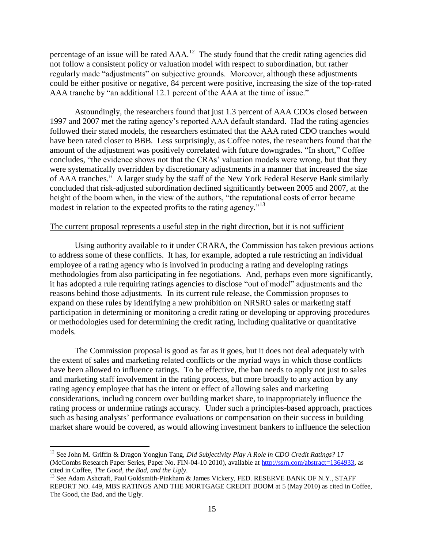percentage of an issue will be rated  $AAA$ <sup>12</sup>. The study found that the credit rating agencies did not follow a consistent policy or valuation model with respect to subordination, but rather regularly made "adjustments" on subjective grounds. Moreover, although these adjustments could be either positive or negative, 84 percent were positive, increasing the size of the top-rated AAA tranche by "an additional 12.1 percent of the AAA at the time of issue."

Astoundingly, the researchers found that just 1.3 percent of AAA CDOs closed between 1997 and 2007 met the rating agency"s reported AAA default standard. Had the rating agencies followed their stated models, the researchers estimated that the AAA rated CDO tranches would have been rated closer to BBB. Less surprisingly, as Coffee notes, the researchers found that the amount of the adjustment was positively correlated with future downgrades. "In short," Coffee concludes, "the evidence shows not that the CRAs' valuation models were wrong, but that they were systematically overridden by discretionary adjustments in a manner that increased the size of AAA tranches." A larger study by the staff of the New York Federal Reserve Bank similarly concluded that risk-adjusted subordination declined significantly between 2005 and 2007, at the height of the boom when, in the view of the authors, "the reputational costs of error became modest in relation to the expected profits to the rating agency."<sup>13</sup>

#### The current proposal represents a useful step in the right direction, but it is not sufficient

Using authority available to it under CRARA, the Commission has taken previous actions to address some of these conflicts. It has, for example, adopted a rule restricting an individual employee of a rating agency who is involved in producing a rating and developing ratings methodologies from also participating in fee negotiations. And, perhaps even more significantly, it has adopted a rule requiring ratings agencies to disclose "out of model" adjustments and the reasons behind those adjustments. In its current rule release, the Commission proposes to expand on these rules by identifying a new prohibition on NRSRO sales or marketing staff participation in determining or monitoring a credit rating or developing or approving procedures or methodologies used for determining the credit rating, including qualitative or quantitative models.

The Commission proposal is good as far as it goes, but it does not deal adequately with the extent of sales and marketing related conflicts or the myriad ways in which those conflicts have been allowed to influence ratings. To be effective, the ban needs to apply not just to sales and marketing staff involvement in the rating process, but more broadly to any action by any rating agency employee that has the intent or effect of allowing sales and marketing considerations, including concern over building market share, to inappropriately influence the rating process or undermine ratings accuracy. Under such a principles-based approach, practices such as basing analysts' performance evaluations or compensation on their success in building market share would be covered, as would allowing investment bankers to influence the selection

<sup>12</sup> See John M. Griffin & Dragon Yongjun Tang, *Did Subjectivity Play A Role in CDO Credit Ratings?* 17 (McCombs Research Paper Series, Paper No. FIN-04-10 2010), available at [http://ssrn.com/abstract=1364933,](http://ssrn.com/abstract=1364933) as cited in Coffee, *The Good, the Bad, and the Ugly*.

 $^{13}$  See Adam Ashcraft, Paul Goldsmith-Pinkham & James Vickery, FED. RESERVE BANK OF N.Y., STAFF REPORT NO. 449, MBS RATINGS AND THE MORTGAGE CREDIT BOOM at 5 (May 2010) as cited in Coffee, The Good, the Bad, and the Ugly.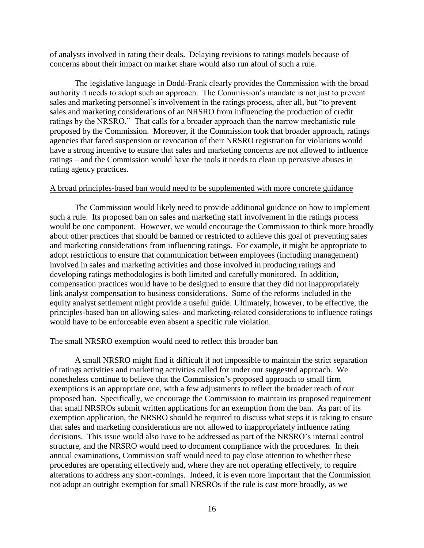of analysts involved in rating their deals. Delaying revisions to ratings models because of concerns about their impact on market share would also run afoul of such a rule.

The legislative language in Dodd-Frank clearly provides the Commission with the broad authority it needs to adopt such an approach. The Commission"s mandate is not just to prevent sales and marketing personnel"s involvement in the ratings process, after all, but "to prevent sales and marketing considerations of an NRSRO from influencing the production of credit ratings by the NRSRO." That calls for a broader approach than the narrow mechanistic rule proposed by the Commission. Moreover, if the Commission took that broader approach, ratings agencies that faced suspension or revocation of their NRSRO registration for violations would have a strong incentive to ensure that sales and marketing concerns are not allowed to influence ratings – and the Commission would have the tools it needs to clean up pervasive abuses in rating agency practices.

#### A broad principles-based ban would need to be supplemented with more concrete guidance

The Commission would likely need to provide additional guidance on how to implement such a rule. Its proposed ban on sales and marketing staff involvement in the ratings process would be one component. However, we would encourage the Commission to think more broadly about other practices that should be banned or restricted to achieve this goal of preventing sales and marketing considerations from influencing ratings. For example, it might be appropriate to adopt restrictions to ensure that communication between employees (including management) involved in sales and marketing activities and those involved in producing ratings and developing ratings methodologies is both limited and carefully monitored. In addition, compensation practices would have to be designed to ensure that they did not inappropriately link analyst compensation to business considerations. Some of the reforms included in the equity analyst settlement might provide a useful guide. Ultimately, however, to be effective, the principles-based ban on allowing sales- and marketing-related considerations to influence ratings would have to be enforceable even absent a specific rule violation.

#### The small NRSRO exemption would need to reflect this broader ban

A small NRSRO might find it difficult if not impossible to maintain the strict separation of ratings activities and marketing activities called for under our suggested approach. We nonetheless continue to believe that the Commission"s proposed approach to small firm exemptions is an appropriate one, with a few adjustments to reflect the broader reach of our proposed ban. Specifically, we encourage the Commission to maintain its proposed requirement that small NRSROs submit written applications for an exemption from the ban. As part of its exemption application, the NRSRO should be required to discuss what steps it is taking to ensure that sales and marketing considerations are not allowed to inappropriately influence rating decisions. This issue would also have to be addressed as part of the NRSRO"s internal control structure, and the NRSRO would need to document compliance with the procedures. In their annual examinations, Commission staff would need to pay close attention to whether these procedures are operating effectively and, where they are not operating effectively, to require alterations to address any short-comings. Indeed, it is even more important that the Commission not adopt an outright exemption for small NRSROs if the rule is cast more broadly, as we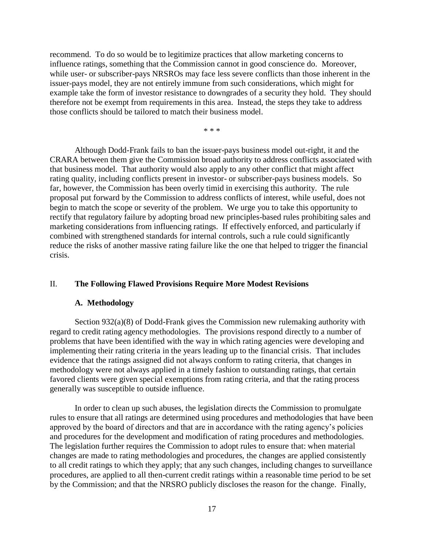recommend. To do so would be to legitimize practices that allow marketing concerns to influence ratings, something that the Commission cannot in good conscience do. Moreover, while user- or subscriber-pays NRSROs may face less severe conflicts than those inherent in the issuer-pays model, they are not entirely immune from such considerations, which might for example take the form of investor resistance to downgrades of a security they hold. They should therefore not be exempt from requirements in this area. Instead, the steps they take to address those conflicts should be tailored to match their business model.

\* \* \*

Although Dodd-Frank fails to ban the issuer-pays business model out-right, it and the CRARA between them give the Commission broad authority to address conflicts associated with that business model. That authority would also apply to any other conflict that might affect rating quality, including conflicts present in investor- or subscriber-pays business models. So far, however, the Commission has been overly timid in exercising this authority. The rule proposal put forward by the Commission to address conflicts of interest, while useful, does not begin to match the scope or severity of the problem. We urge you to take this opportunity to rectify that regulatory failure by adopting broad new principles-based rules prohibiting sales and marketing considerations from influencing ratings. If effectively enforced, and particularly if combined with strengthened standards for internal controls, such a rule could significantly reduce the risks of another massive rating failure like the one that helped to trigger the financial crisis.

#### II. **The Following Flawed Provisions Require More Modest Revisions**

#### **A. Methodology**

Section 932(a)(8) of Dodd-Frank gives the Commission new rulemaking authority with regard to credit rating agency methodologies. The provisions respond directly to a number of problems that have been identified with the way in which rating agencies were developing and implementing their rating criteria in the years leading up to the financial crisis. That includes evidence that the ratings assigned did not always conform to rating criteria, that changes in methodology were not always applied in a timely fashion to outstanding ratings, that certain favored clients were given special exemptions from rating criteria, and that the rating process generally was susceptible to outside influence.

In order to clean up such abuses, the legislation directs the Commission to promulgate rules to ensure that all ratings are determined using procedures and methodologies that have been approved by the board of directors and that are in accordance with the rating agency"s policies and procedures for the development and modification of rating procedures and methodologies. The legislation further requires the Commission to adopt rules to ensure that: when material changes are made to rating methodologies and procedures, the changes are applied consistently to all credit ratings to which they apply; that any such changes, including changes to surveillance procedures, are applied to all then-current credit ratings within a reasonable time period to be set by the Commission; and that the NRSRO publicly discloses the reason for the change. Finally,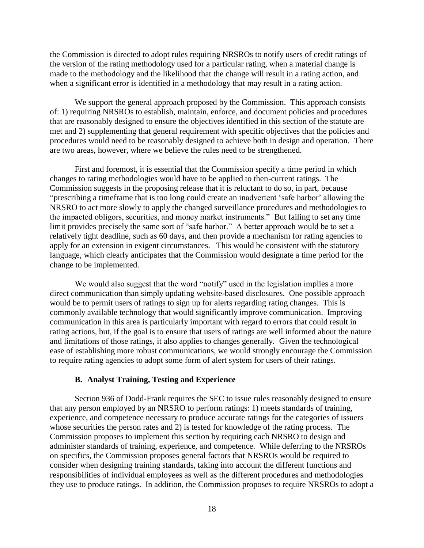the Commission is directed to adopt rules requiring NRSROs to notify users of credit ratings of the version of the rating methodology used for a particular rating, when a material change is made to the methodology and the likelihood that the change will result in a rating action, and when a significant error is identified in a methodology that may result in a rating action.

We support the general approach proposed by the Commission. This approach consists of: 1) requiring NRSROs to establish, maintain, enforce, and document policies and procedures that are reasonably designed to ensure the objectives identified in this section of the statute are met and 2) supplementing that general requirement with specific objectives that the policies and procedures would need to be reasonably designed to achieve both in design and operation. There are two areas, however, where we believe the rules need to be strengthened.

First and foremost, it is essential that the Commission specify a time period in which changes to rating methodologies would have to be applied to then-current ratings. The Commission suggests in the proposing release that it is reluctant to do so, in part, because "prescribing a timeframe that is too long could create an inadvertent "safe harbor" allowing the NRSRO to act more slowly to apply the changed surveillance procedures and methodologies to the impacted obligors, securities, and money market instruments." But failing to set any time limit provides precisely the same sort of "safe harbor." A better approach would be to set a relatively tight deadline, such as 60 days, and then provide a mechanism for rating agencies to apply for an extension in exigent circumstances. This would be consistent with the statutory language, which clearly anticipates that the Commission would designate a time period for the change to be implemented.

We would also suggest that the word "notify" used in the legislation implies a more direct communication than simply updating website-based disclosures. One possible approach would be to permit users of ratings to sign up for alerts regarding rating changes. This is commonly available technology that would significantly improve communication. Improving communication in this area is particularly important with regard to errors that could result in rating actions, but, if the goal is to ensure that users of ratings are well informed about the nature and limitations of those ratings, it also applies to changes generally. Given the technological ease of establishing more robust communications, we would strongly encourage the Commission to require rating agencies to adopt some form of alert system for users of their ratings.

#### **B. Analyst Training, Testing and Experience**

Section 936 of Dodd-Frank requires the SEC to issue rules reasonably designed to ensure that any person employed by an NRSRO to perform ratings: 1) meets standards of training, experience, and competence necessary to produce accurate ratings for the categories of issuers whose securities the person rates and 2) is tested for knowledge of the rating process. The Commission proposes to implement this section by requiring each NRSRO to design and administer standards of training, experience, and competence. While deferring to the NRSROs on specifics, the Commission proposes general factors that NRSROs would be required to consider when designing training standards, taking into account the different functions and responsibilities of individual employees as well as the different procedures and methodologies they use to produce ratings. In addition, the Commission proposes to require NRSROs to adopt a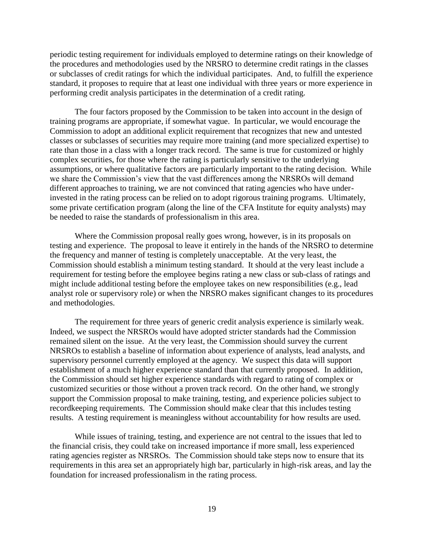periodic testing requirement for individuals employed to determine ratings on their knowledge of the procedures and methodologies used by the NRSRO to determine credit ratings in the classes or subclasses of credit ratings for which the individual participates. And, to fulfill the experience standard, it proposes to require that at least one individual with three years or more experience in performing credit analysis participates in the determination of a credit rating.

The four factors proposed by the Commission to be taken into account in the design of training programs are appropriate, if somewhat vague. In particular, we would encourage the Commission to adopt an additional explicit requirement that recognizes that new and untested classes or subclasses of securities may require more training (and more specialized expertise) to rate than those in a class with a longer track record. The same is true for customized or highly complex securities, for those where the rating is particularly sensitive to the underlying assumptions, or where qualitative factors are particularly important to the rating decision. While we share the Commission"s view that the vast differences among the NRSROs will demand different approaches to training, we are not convinced that rating agencies who have underinvested in the rating process can be relied on to adopt rigorous training programs. Ultimately, some private certification program (along the line of the CFA Institute for equity analysts) may be needed to raise the standards of professionalism in this area.

Where the Commission proposal really goes wrong, however, is in its proposals on testing and experience. The proposal to leave it entirely in the hands of the NRSRO to determine the frequency and manner of testing is completely unacceptable. At the very least, the Commission should establish a minimum testing standard. It should at the very least include a requirement for testing before the employee begins rating a new class or sub-class of ratings and might include additional testing before the employee takes on new responsibilities (e.g., lead analyst role or supervisory role) or when the NRSRO makes significant changes to its procedures and methodologies.

The requirement for three years of generic credit analysis experience is similarly weak. Indeed, we suspect the NRSROs would have adopted stricter standards had the Commission remained silent on the issue. At the very least, the Commission should survey the current NRSROs to establish a baseline of information about experience of analysts, lead analysts, and supervisory personnel currently employed at the agency. We suspect this data will support establishment of a much higher experience standard than that currently proposed. In addition, the Commission should set higher experience standards with regard to rating of complex or customized securities or those without a proven track record. On the other hand, we strongly support the Commission proposal to make training, testing, and experience policies subject to recordkeeping requirements. The Commission should make clear that this includes testing results. A testing requirement is meaningless without accountability for how results are used.

While issues of training, testing, and experience are not central to the issues that led to the financial crisis, they could take on increased importance if more small, less experienced rating agencies register as NRSROs. The Commission should take steps now to ensure that its requirements in this area set an appropriately high bar, particularly in high-risk areas, and lay the foundation for increased professionalism in the rating process.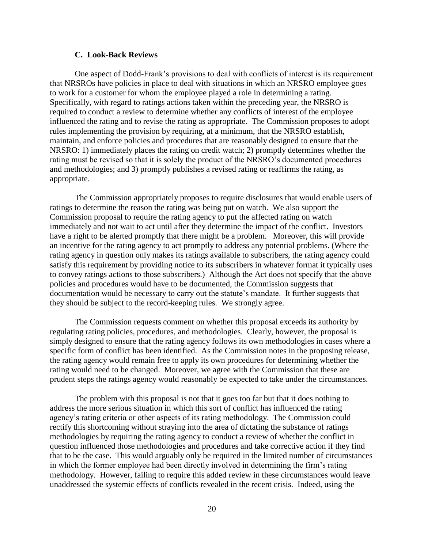#### **C. Look-Back Reviews**

One aspect of Dodd-Frank"s provisions to deal with conflicts of interest is its requirement that NRSROs have policies in place to deal with situations in which an NRSRO employee goes to work for a customer for whom the employee played a role in determining a rating. Specifically, with regard to ratings actions taken within the preceding year, the NRSRO is required to conduct a review to determine whether any conflicts of interest of the employee influenced the rating and to revise the rating as appropriate. The Commission proposes to adopt rules implementing the provision by requiring, at a minimum, that the NRSRO establish, maintain, and enforce policies and procedures that are reasonably designed to ensure that the NRSRO: 1) immediately places the rating on credit watch; 2) promptly determines whether the rating must be revised so that it is solely the product of the NRSRO"s documented procedures and methodologies; and 3) promptly publishes a revised rating or reaffirms the rating, as appropriate.

The Commission appropriately proposes to require disclosures that would enable users of ratings to determine the reason the rating was being put on watch. We also support the Commission proposal to require the rating agency to put the affected rating on watch immediately and not wait to act until after they determine the impact of the conflict. Investors have a right to be alerted promptly that there might be a problem. Moreover, this will provide an incentive for the rating agency to act promptly to address any potential problems. (Where the rating agency in question only makes its ratings available to subscribers, the rating agency could satisfy this requirement by providing notice to its subscribers in whatever format it typically uses to convey ratings actions to those subscribers.) Although the Act does not specify that the above policies and procedures would have to be documented, the Commission suggests that documentation would be necessary to carry out the statute's mandate. It further suggests that they should be subject to the record-keeping rules. We strongly agree.

The Commission requests comment on whether this proposal exceeds its authority by regulating rating policies, procedures, and methodologies. Clearly, however, the proposal is simply designed to ensure that the rating agency follows its own methodologies in cases where a specific form of conflict has been identified. As the Commission notes in the proposing release, the rating agency would remain free to apply its own procedures for determining whether the rating would need to be changed. Moreover, we agree with the Commission that these are prudent steps the ratings agency would reasonably be expected to take under the circumstances.

The problem with this proposal is not that it goes too far but that it does nothing to address the more serious situation in which this sort of conflict has influenced the rating agency"s rating criteria or other aspects of its rating methodology. The Commission could rectify this shortcoming without straying into the area of dictating the substance of ratings methodologies by requiring the rating agency to conduct a review of whether the conflict in question influenced those methodologies and procedures and take corrective action if they find that to be the case. This would arguably only be required in the limited number of circumstances in which the former employee had been directly involved in determining the firm"s rating methodology. However, failing to require this added review in these circumstances would leave unaddressed the systemic effects of conflicts revealed in the recent crisis. Indeed, using the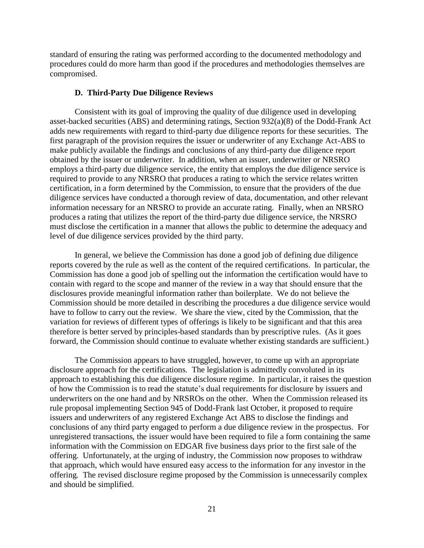standard of ensuring the rating was performed according to the documented methodology and procedures could do more harm than good if the procedures and methodologies themselves are compromised.

#### **D. Third-Party Due Diligence Reviews**

Consistent with its goal of improving the quality of due diligence used in developing asset-backed securities (ABS) and determining ratings, Section 932(a)(8) of the Dodd-Frank Act adds new requirements with regard to third-party due diligence reports for these securities. The first paragraph of the provision requires the issuer or underwriter of any Exchange Act-ABS to make publicly available the findings and conclusions of any third-party due diligence report obtained by the issuer or underwriter. In addition, when an issuer, underwriter or NRSRO employs a third-party due diligence service, the entity that employs the due diligence service is required to provide to any NRSRO that produces a rating to which the service relates written certification, in a form determined by the Commission, to ensure that the providers of the due diligence services have conducted a thorough review of data, documentation, and other relevant information necessary for an NRSRO to provide an accurate rating. Finally, when an NRSRO produces a rating that utilizes the report of the third-party due diligence service, the NRSRO must disclose the certification in a manner that allows the public to determine the adequacy and level of due diligence services provided by the third party.

In general, we believe the Commission has done a good job of defining due diligence reports covered by the rule as well as the content of the required certifications. In particular, the Commission has done a good job of spelling out the information the certification would have to contain with regard to the scope and manner of the review in a way that should ensure that the disclosures provide meaningful information rather than boilerplate. We do not believe the Commission should be more detailed in describing the procedures a due diligence service would have to follow to carry out the review. We share the view, cited by the Commission, that the variation for reviews of different types of offerings is likely to be significant and that this area therefore is better served by principles-based standards than by prescriptive rules. (As it goes forward, the Commission should continue to evaluate whether existing standards are sufficient.)

The Commission appears to have struggled, however, to come up with an appropriate disclosure approach for the certifications. The legislation is admittedly convoluted in its approach to establishing this due diligence disclosure regime. In particular, it raises the question of how the Commission is to read the statute"s dual requirements for disclosure by issuers and underwriters on the one hand and by NRSROs on the other. When the Commission released its rule proposal implementing Section 945 of Dodd-Frank last October, it proposed to require issuers and underwriters of any registered Exchange Act ABS to disclose the findings and conclusions of any third party engaged to perform a due diligence review in the prospectus. For unregistered transactions, the issuer would have been required to file a form containing the same information with the Commission on EDGAR five business days prior to the first sale of the offering. Unfortunately, at the urging of industry, the Commission now proposes to withdraw that approach, which would have ensured easy access to the information for any investor in the offering. The revised disclosure regime proposed by the Commission is unnecessarily complex and should be simplified.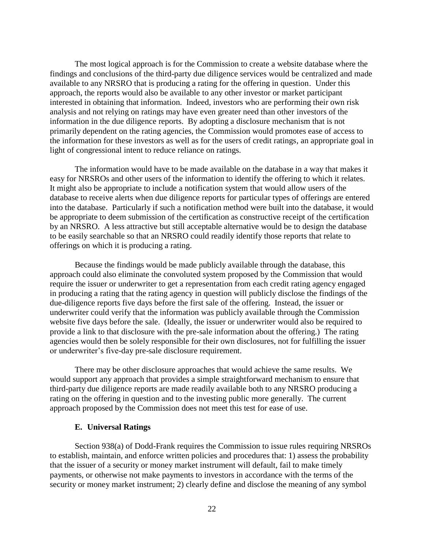The most logical approach is for the Commission to create a website database where the findings and conclusions of the third-party due diligence services would be centralized and made available to any NRSRO that is producing a rating for the offering in question. Under this approach, the reports would also be available to any other investor or market participant interested in obtaining that information. Indeed, investors who are performing their own risk analysis and not relying on ratings may have even greater need than other investors of the information in the due diligence reports. By adopting a disclosure mechanism that is not primarily dependent on the rating agencies, the Commission would promotes ease of access to the information for these investors as well as for the users of credit ratings, an appropriate goal in light of congressional intent to reduce reliance on ratings.

The information would have to be made available on the database in a way that makes it easy for NRSROs and other users of the information to identify the offering to which it relates. It might also be appropriate to include a notification system that would allow users of the database to receive alerts when due diligence reports for particular types of offerings are entered into the database. Particularly if such a notification method were built into the database, it would be appropriate to deem submission of the certification as constructive receipt of the certification by an NRSRO. A less attractive but still acceptable alternative would be to design the database to be easily searchable so that an NRSRO could readily identify those reports that relate to offerings on which it is producing a rating.

Because the findings would be made publicly available through the database, this approach could also eliminate the convoluted system proposed by the Commission that would require the issuer or underwriter to get a representation from each credit rating agency engaged in producing a rating that the rating agency in question will publicly disclose the findings of the due-diligence reports five days before the first sale of the offering. Instead, the issuer or underwriter could verify that the information was publicly available through the Commission website five days before the sale. (Ideally, the issuer or underwriter would also be required to provide a link to that disclosure with the pre-sale information about the offering.) The rating agencies would then be solely responsible for their own disclosures, not for fulfilling the issuer or underwriter"s five-day pre-sale disclosure requirement.

There may be other disclosure approaches that would achieve the same results. We would support any approach that provides a simple straightforward mechanism to ensure that third-party due diligence reports are made readily available both to any NRSRO producing a rating on the offering in question and to the investing public more generally. The current approach proposed by the Commission does not meet this test for ease of use.

#### **E. Universal Ratings**

Section 938(a) of Dodd-Frank requires the Commission to issue rules requiring NRSROs to establish, maintain, and enforce written policies and procedures that: 1) assess the probability that the issuer of a security or money market instrument will default, fail to make timely payments, or otherwise not make payments to investors in accordance with the terms of the security or money market instrument; 2) clearly define and disclose the meaning of any symbol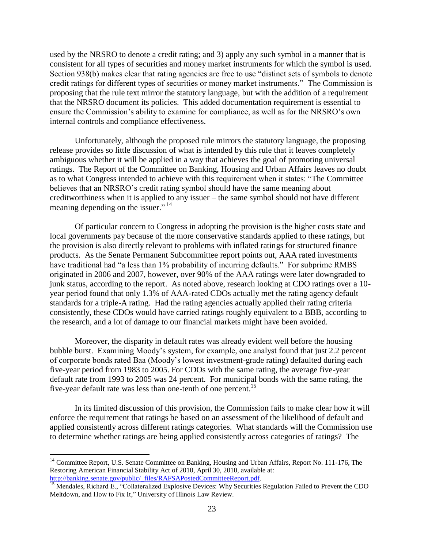used by the NRSRO to denote a credit rating; and 3) apply any such symbol in a manner that is consistent for all types of securities and money market instruments for which the symbol is used. Section 938(b) makes clear that rating agencies are free to use "distinct sets of symbols to denote credit ratings for different types of securities or money market instruments." The Commission is proposing that the rule text mirror the statutory language, but with the addition of a requirement that the NRSRO document its policies. This added documentation requirement is essential to ensure the Commission"s ability to examine for compliance, as well as for the NRSRO"s own internal controls and compliance effectiveness.

Unfortunately, although the proposed rule mirrors the statutory language, the proposing release provides so little discussion of what is intended by this rule that it leaves completely ambiguous whether it will be applied in a way that achieves the goal of promoting universal ratings. The Report of the Committee on Banking, Housing and Urban Affairs leaves no doubt as to what Congress intended to achieve with this requirement when it states: "The Committee believes that an NRSRO"s credit rating symbol should have the same meaning about creditworthiness when it is applied to any issuer – the same symbol should not have different meaning depending on the issuer."<sup>14</sup>

Of particular concern to Congress in adopting the provision is the higher costs state and local governments pay because of the more conservative standards applied to these ratings, but the provision is also directly relevant to problems with inflated ratings for structured finance products. As the Senate Permanent Subcommittee report points out, AAA rated investments have traditional had "a less than 1% probability of incurring defaults." For subprime RMBS originated in 2006 and 2007, however, over 90% of the AAA ratings were later downgraded to junk status, according to the report. As noted above, research looking at CDO ratings over a 10 year period found that only 1.3% of AAA-rated CDOs actually met the rating agency default standards for a triple-A rating. Had the rating agencies actually applied their rating criteria consistently, these CDOs would have carried ratings roughly equivalent to a BBB, according to the research, and a lot of damage to our financial markets might have been avoided.

Moreover, the disparity in default rates was already evident well before the housing bubble burst. Examining Moody"s system, for example, one analyst found that just 2.2 percent of corporate bonds rated Baa (Moody"s lowest investment-grade rating) defaulted during each five-year period from 1983 to 2005. For CDOs with the same rating, the average five-year default rate from 1993 to 2005 was 24 percent. For municipal bonds with the same rating, the five-year default rate was less than one-tenth of one percent.<sup>15</sup>

In its limited discussion of this provision, the Commission fails to make clear how it will enforce the requirement that ratings be based on an assessment of the likelihood of default and applied consistently across different ratings categories. What standards will the Commission use to determine whether ratings are being applied consistently across categories of ratings? The

<sup>&</sup>lt;sup>14</sup> Committee Report, U.S. Senate Committee on Banking, Housing and Urban Affairs, Report No. 111-176, The Restoring American Financial Stability Act of 2010, April 30, 2010, available at: [http://banking.senate.gov/public/\\_files/RAFSAPostedCommitteeReport.pdf.](http://banking.senate.gov/public/_files/RAFSAPostedCommitteeReport.pdf)

<sup>&</sup>lt;sup>15</sup> Mendales, Richard E., "Collateralized Explosive Devices: Why Securities Regulation Failed to Prevent the CDO Meltdown, and How to Fix It," University of Illinois Law Review.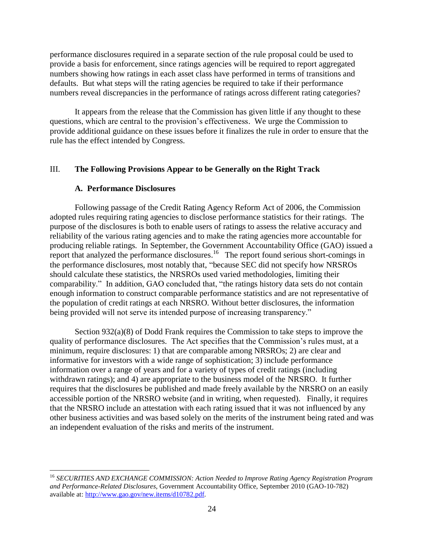performance disclosures required in a separate section of the rule proposal could be used to provide a basis for enforcement, since ratings agencies will be required to report aggregated numbers showing how ratings in each asset class have performed in terms of transitions and defaults. But what steps will the rating agencies be required to take if their performance numbers reveal discrepancies in the performance of ratings across different rating categories?

It appears from the release that the Commission has given little if any thought to these questions, which are central to the provision"s effectiveness. We urge the Commission to provide additional guidance on these issues before it finalizes the rule in order to ensure that the rule has the effect intended by Congress.

## III. **The Following Provisions Appear to be Generally on the Right Track**

#### **A. Performance Disclosures**

 $\overline{a}$ 

Following passage of the Credit Rating Agency Reform Act of 2006, the Commission adopted rules requiring rating agencies to disclose performance statistics for their ratings. The purpose of the disclosures is both to enable users of ratings to assess the relative accuracy and reliability of the various rating agencies and to make the rating agencies more accountable for producing reliable ratings. In September, the Government Accountability Office (GAO) issued a report that analyzed the performance disclosures. 16 The report found serious short-comings in the performance disclosures, most notably that, "because SEC did not specify how NRSROs should calculate these statistics, the NRSROs used varied methodologies, limiting their comparability." In addition, GAO concluded that, "the ratings history data sets do not contain enough information to construct comparable performance statistics and are not representative of the population of credit ratings at each NRSRO. Without better disclosures, the information being provided will not serve its intended purpose of increasing transparency."

Section 932(a)(8) of Dodd Frank requires the Commission to take steps to improve the quality of performance disclosures. The Act specifies that the Commission"s rules must, at a minimum, require disclosures: 1) that are comparable among NRSROs; 2) are clear and informative for investors with a wide range of sophistication; 3) include performance information over a range of years and for a variety of types of credit ratings (including withdrawn ratings); and 4) are appropriate to the business model of the NRSRO. It further requires that the disclosures be published and made freely available by the NRSRO on an easily accessible portion of the NRSRO website (and in writing, when requested). Finally, it requires that the NRSRO include an attestation with each rating issued that it was not influenced by any other business activities and was based solely on the merits of the instrument being rated and was an independent evaluation of the risks and merits of the instrument.

<sup>16</sup> *SECURITIES AND EXCHANGE COMMISSION: Action Needed to Improve Rating Agency Registration Program and Performance-Related Disclosures*, Government Accountability Office, September 2010 (GAO-10-782) available at: [http://www.gao.gov/new.items/d10782.pdf.](http://www.gao.gov/new.items/d10782.pdf)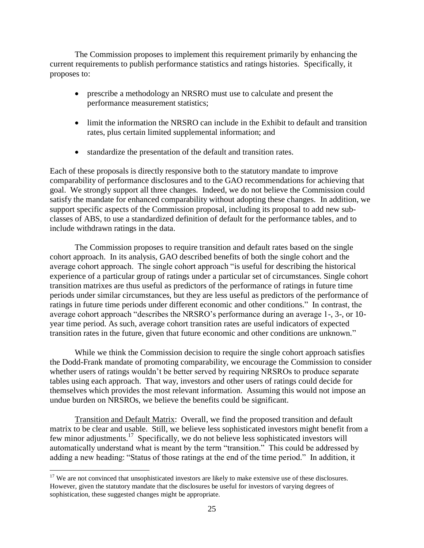The Commission proposes to implement this requirement primarily by enhancing the current requirements to publish performance statistics and ratings histories. Specifically, it proposes to:

- prescribe a methodology an NRSRO must use to calculate and present the performance measurement statistics;
- limit the information the NRSRO can include in the Exhibit to default and transition rates, plus certain limited supplemental information; and
- standardize the presentation of the default and transition rates.

Each of these proposals is directly responsive both to the statutory mandate to improve comparability of performance disclosures and to the GAO recommendations for achieving that goal. We strongly support all three changes. Indeed, we do not believe the Commission could satisfy the mandate for enhanced comparability without adopting these changes. In addition, we support specific aspects of the Commission proposal, including its proposal to add new subclasses of ABS, to use a standardized definition of default for the performance tables, and to include withdrawn ratings in the data.

The Commission proposes to require transition and default rates based on the single cohort approach. In its analysis, GAO described benefits of both the single cohort and the average cohort approach. The single cohort approach "is useful for describing the historical experience of a particular group of ratings under a particular set of circumstances. Single cohort transition matrixes are thus useful as predictors of the performance of ratings in future time periods under similar circumstances, but they are less useful as predictors of the performance of ratings in future time periods under different economic and other conditions." In contrast, the average cohort approach "describes the NRSRO"s performance during an average 1-, 3-, or 10 year time period. As such, average cohort transition rates are useful indicators of expected transition rates in the future, given that future economic and other conditions are unknown."

While we think the Commission decision to require the single cohort approach satisfies the Dodd-Frank mandate of promoting comparability, we encourage the Commission to consider whether users of ratings wouldn't be better served by requiring NRSROs to produce separate tables using each approach. That way, investors and other users of ratings could decide for themselves which provides the most relevant information. Assuming this would not impose an undue burden on NRSROs, we believe the benefits could be significant.

Transition and Default Matrix: Overall, we find the proposed transition and default matrix to be clear and usable. Still, we believe less sophisticated investors might benefit from a few minor adjustments.<sup>17</sup> Specifically, we do not believe less sophisticated investors will automatically understand what is meant by the term "transition." This could be addressed by adding a new heading: "Status of those ratings at the end of the time period." In addition, it

<sup>&</sup>lt;sup>17</sup> We are not convinced that unsophisticated investors are likely to make extensive use of these disclosures. However, given the statutory mandate that the disclosures be useful for investors of varying degrees of sophistication, these suggested changes might be appropriate.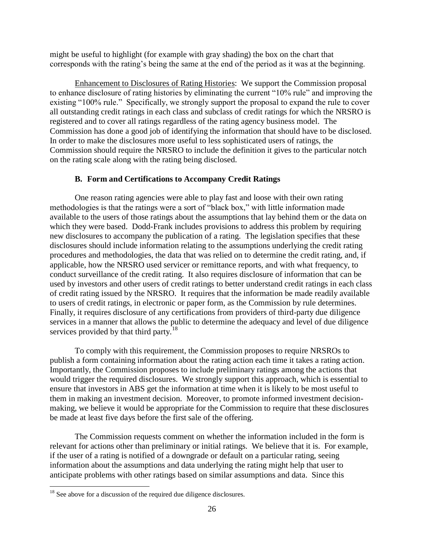might be useful to highlight (for example with gray shading) the box on the chart that corresponds with the rating"s being the same at the end of the period as it was at the beginning.

Enhancement to Disclosures of Rating Histories: We support the Commission proposal to enhance disclosure of rating histories by eliminating the current "10% rule" and improving the existing "100% rule." Specifically, we strongly support the proposal to expand the rule to cover all outstanding credit ratings in each class and subclass of credit ratings for which the NRSRO is registered and to cover all ratings regardless of the rating agency business model. The Commission has done a good job of identifying the information that should have to be disclosed. In order to make the disclosures more useful to less sophisticated users of ratings, the Commission should require the NRSRO to include the definition it gives to the particular notch on the rating scale along with the rating being disclosed.

## **B. Form and Certifications to Accompany Credit Ratings**

One reason rating agencies were able to play fast and loose with their own rating methodologies is that the ratings were a sort of "black box," with little information made available to the users of those ratings about the assumptions that lay behind them or the data on which they were based. Dodd-Frank includes provisions to address this problem by requiring new disclosures to accompany the publication of a rating. The legislation specifies that these disclosures should include information relating to the assumptions underlying the credit rating procedures and methodologies, the data that was relied on to determine the credit rating, and, if applicable, how the NRSRO used servicer or remittance reports, and with what frequency, to conduct surveillance of the credit rating. It also requires disclosure of information that can be used by investors and other users of credit ratings to better understand credit ratings in each class of credit rating issued by the NRSRO. It requires that the information be made readily available to users of credit ratings, in electronic or paper form, as the Commission by rule determines. Finally, it requires disclosure of any certifications from providers of third-party due diligence services in a manner that allows the public to determine the adequacy and level of due diligence services provided by that third party. $18$ 

To comply with this requirement, the Commission proposes to require NRSROs to publish a form containing information about the rating action each time it takes a rating action. Importantly, the Commission proposes to include preliminary ratings among the actions that would trigger the required disclosures. We strongly support this approach, which is essential to ensure that investors in ABS get the information at time when it is likely to be most useful to them in making an investment decision. Moreover, to promote informed investment decisionmaking, we believe it would be appropriate for the Commission to require that these disclosures be made at least five days before the first sale of the offering.

The Commission requests comment on whether the information included in the form is relevant for actions other than preliminary or initial ratings. We believe that it is. For example, if the user of a rating is notified of a downgrade or default on a particular rating, seeing information about the assumptions and data underlying the rating might help that user to anticipate problems with other ratings based on similar assumptions and data. Since this

<sup>&</sup>lt;sup>18</sup> See above for a discussion of the required due diligence disclosures.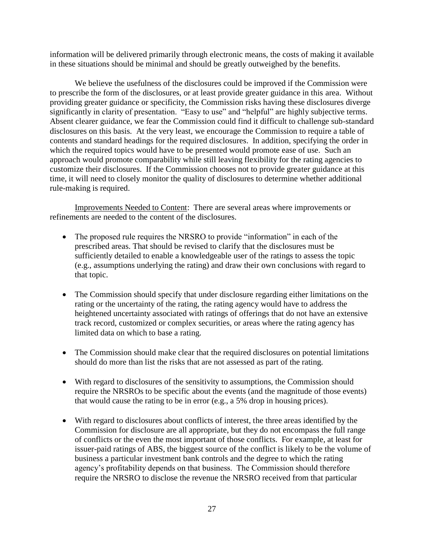information will be delivered primarily through electronic means, the costs of making it available in these situations should be minimal and should be greatly outweighed by the benefits.

We believe the usefulness of the disclosures could be improved if the Commission were to prescribe the form of the disclosures, or at least provide greater guidance in this area. Without providing greater guidance or specificity, the Commission risks having these disclosures diverge significantly in clarity of presentation. "Easy to use" and "helpful" are highly subjective terms. Absent clearer guidance, we fear the Commission could find it difficult to challenge sub-standard disclosures on this basis. At the very least, we encourage the Commission to require a table of contents and standard headings for the required disclosures. In addition, specifying the order in which the required topics would have to be presented would promote ease of use. Such an approach would promote comparability while still leaving flexibility for the rating agencies to customize their disclosures. If the Commission chooses not to provide greater guidance at this time, it will need to closely monitor the quality of disclosures to determine whether additional rule-making is required.

Improvements Needed to Content: There are several areas where improvements or refinements are needed to the content of the disclosures.

- The proposed rule requires the NRSRO to provide "information" in each of the prescribed areas. That should be revised to clarify that the disclosures must be sufficiently detailed to enable a knowledgeable user of the ratings to assess the topic (e.g., assumptions underlying the rating) and draw their own conclusions with regard to that topic.
- The Commission should specify that under disclosure regarding either limitations on the rating or the uncertainty of the rating, the rating agency would have to address the heightened uncertainty associated with ratings of offerings that do not have an extensive track record, customized or complex securities, or areas where the rating agency has limited data on which to base a rating.
- The Commission should make clear that the required disclosures on potential limitations should do more than list the risks that are not assessed as part of the rating.
- With regard to disclosures of the sensitivity to assumptions, the Commission should require the NRSROs to be specific about the events (and the magnitude of those events) that would cause the rating to be in error (e.g., a 5% drop in housing prices).
- With regard to disclosures about conflicts of interest, the three areas identified by the Commission for disclosure are all appropriate, but they do not encompass the full range of conflicts or the even the most important of those conflicts. For example, at least for issuer-paid ratings of ABS, the biggest source of the conflict is likely to be the volume of business a particular investment bank controls and the degree to which the rating agency"s profitability depends on that business. The Commission should therefore require the NRSRO to disclose the revenue the NRSRO received from that particular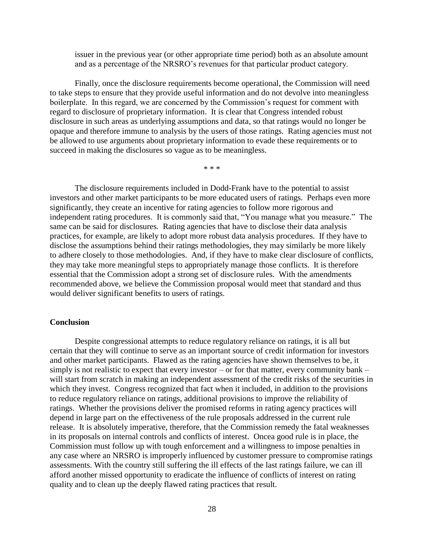issuer in the previous year (or other appropriate time period) both as an absolute amount and as a percentage of the NRSRO"s revenues for that particular product category.

Finally, once the disclosure requirements become operational, the Commission will need to take steps to ensure that they provide useful information and do not devolve into meaningless boilerplate. In this regard, we are concerned by the Commission's request for comment with regard to disclosure of proprietary information. It is clear that Congress intended robust disclosure in such areas as underlying assumptions and data, so that ratings would no longer be opaque and therefore immune to analysis by the users of those ratings. Rating agencies must not be allowed to use arguments about proprietary information to evade these requirements or to succeed in making the disclosures so vague as to be meaningless.

\* \* \*

The disclosure requirements included in Dodd-Frank have to the potential to assist investors and other market participants to be more educated users of ratings. Perhaps even more significantly, they create an incentive for rating agencies to follow more rigorous and independent rating procedures. It is commonly said that, "You manage what you measure." The same can be said for disclosures. Rating agencies that have to disclose their data analysis practices, for example, are likely to adopt more robust data analysis procedures. If they have to disclose the assumptions behind their ratings methodologies, they may similarly be more likely to adhere closely to those methodologies. And, if they have to make clear disclosure of conflicts, they may take more meaningful steps to appropriately manage those conflicts. It is therefore essential that the Commission adopt a strong set of disclosure rules. With the amendments recommended above, we believe the Commission proposal would meet that standard and thus would deliver significant benefits to users of ratings.

#### **Conclusion**

Despite congressional attempts to reduce regulatory reliance on ratings, it is all but certain that they will continue to serve as an important source of credit information for investors and other market participants. Flawed as the rating agencies have shown themselves to be, it simply is not realistic to expect that every investor – or for that matter, every community bank – will start from scratch in making an independent assessment of the credit risks of the securities in which they invest. Congress recognized that fact when it included, in addition to the provisions to reduce regulatory reliance on ratings, additional provisions to improve the reliability of ratings. Whether the provisions deliver the promised reforms in rating agency practices will depend in large part on the effectiveness of the rule proposals addressed in the current rule release. It is absolutely imperative, therefore, that the Commission remedy the fatal weaknesses in its proposals on internal controls and conflicts of interest. Oncea good rule is in place, the Commission must follow up with tough enforcement and a willingness to impose penalties in any case where an NRSRO is improperly influenced by customer pressure to compromise ratings assessments. With the country still suffering the ill effects of the last ratings failure, we can ill afford another missed opportunity to eradicate the influence of conflicts of interest on rating quality and to clean up the deeply flawed rating practices that result.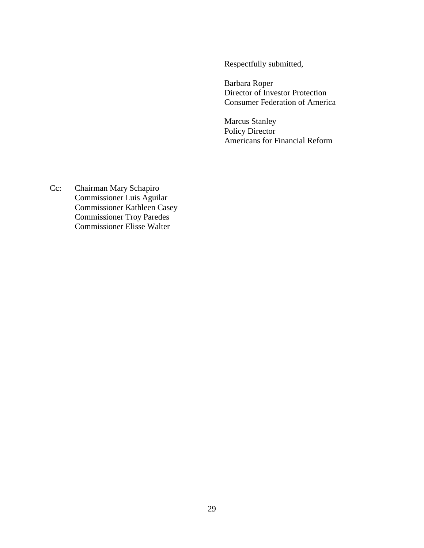Respectfully submitted,

Barbara Roper Director of Investor Protection Consumer Federation of America

Marcus Stanley Policy Director Americans for Financial Reform

Cc: Chairman Mary Schapiro Commissioner Luis Aguilar Commissioner Kathleen Casey Commissioner Troy Paredes Commissioner Elisse Walter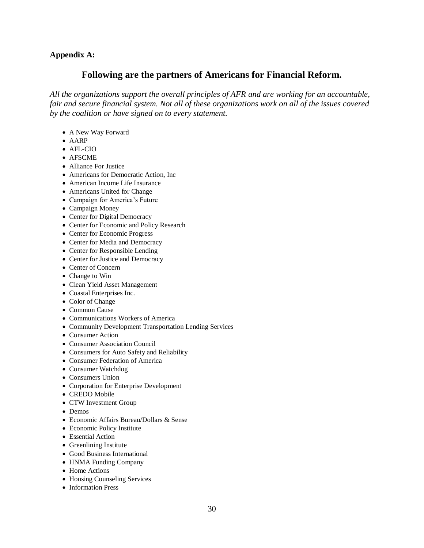## **Appendix A:**

## **Following are the partners of Americans for Financial Reform.**

*All the organizations support the overall principles of AFR and are working for an accountable, fair and secure financial system. Not all of these organizations work on all of the issues covered by the coalition or have signed on to every statement.*

- A New Way Forward
- AARP
- AFL-CIO
- AFSCME
- Alliance For Justice
- Americans for Democratic Action, Inc
- American Income Life Insurance
- Americans United for Change
- Campaign for America's Future
- Campaign Money
- Center for Digital Democracy
- Center for Economic and Policy Research
- Center for Economic Progress
- Center for Media and Democracy
- Center for Responsible Lending
- Center for Justice and Democracy
- Center of Concern
- Change to Win
- Clean Yield Asset Management
- Coastal Enterprises Inc.
- Color of Change
- Common Cause
- Communications Workers of America
- Community Development Transportation Lending Services
- Consumer Action
- Consumer Association Council
- Consumers for Auto Safety and Reliability
- Consumer Federation of America
- Consumer Watchdog
- Consumers Union
- Corporation for Enterprise Development
- CREDO Mobile
- CTW Investment Group
- Demos
- Economic Affairs Bureau/Dollars & Sense
- Economic Policy Institute
- Essential Action
- Greenlining Institute
- Good Business International
- HNMA Funding Company
- Home Actions
- Housing Counseling Services
- Information Press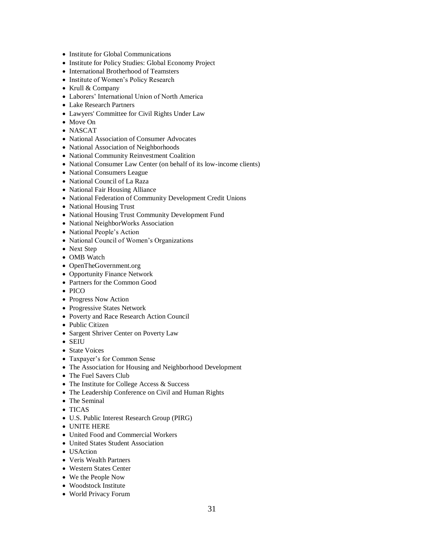- Institute for Global Communications
- Institute for Policy Studies: Global Economy Project
- International Brotherhood of Teamsters
- Institute of Women's Policy Research
- Krull & Company
- Laborers" International Union of North America
- Lake Research Partners
- Lawyers' Committee for Civil Rights Under Law
- Move On
- NASCAT
- National Association of Consumer Advocates
- National Association of Neighborhoods
- National Community Reinvestment Coalition
- National Consumer Law Center (on behalf of its low-income clients)
- National Consumers League
- National Council of La Raza
- National Fair Housing Alliance
- National Federation of Community Development Credit Unions
- National Housing Trust
- National Housing Trust Community Development Fund
- National NeighborWorks Association
- National People's Action
- National Council of Women's Organizations
- Next Step
- OMB Watch
- OpenTheGovernment.org
- Opportunity Finance Network
- Partners for the Common Good
- $\bullet$  PICO
- Progress Now Action
- Progressive States Network
- Poverty and Race Research Action Council
- Public Citizen
- Sargent Shriver Center on Poverty Law
- SEIU
- State Voices
- Taxpayer"s for Common Sense
- The Association for Housing and Neighborhood Development
- The Fuel Savers Club
- The Institute for College Access & Success
- The Leadership Conference on Civil and Human Rights
- The Seminal
- TICAS
- U.S. Public Interest Research Group (PIRG)
- UNITE HERE
- United Food and Commercial Workers
- United States Student Association
- USAction
- Veris Wealth Partners
- Western States Center
- We the People Now
- Woodstock Institute
- World Privacy Forum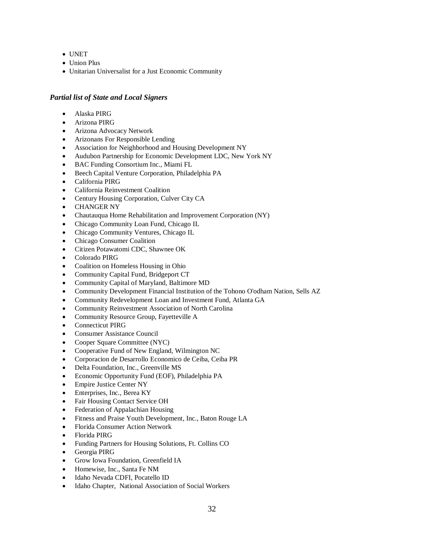- UNET
- Union Plus
- Unitarian Universalist for a Just Economic Community

#### *Partial list of State and Local Signers*

- Alaska PIRG
- Arizona PIRG
- Arizona Advocacy Network
- Arizonans For Responsible Lending
- Association for Neighborhood and Housing Development NY
- Audubon Partnership for Economic Development LDC, New York NY
- BAC Funding Consortium Inc., Miami FL
- Beech Capital Venture Corporation, Philadelphia PA
- California PIRG
- California Reinvestment Coalition
- Century Housing Corporation, Culver City CA
- CHANGER NY
- Chautauqua Home Rehabilitation and Improvement Corporation (NY)
- Chicago Community Loan Fund, Chicago IL
- Chicago Community Ventures, Chicago IL
- Chicago Consumer Coalition
- Citizen Potawatomi CDC, Shawnee OK
- Colorado PIRG
- Coalition on Homeless Housing in Ohio
- Community Capital Fund, Bridgeport CT
- Community Capital of Maryland, Baltimore MD
- Community Development Financial Institution of the Tohono O'odham Nation, Sells AZ
- Community Redevelopment Loan and Investment Fund, Atlanta GA
- Community Reinvestment Association of North Carolina
- Community Resource Group, Fayetteville A
- Connecticut PIRG
- Consumer Assistance Council
- Cooper Square Committee (NYC)
- Cooperative Fund of New England, Wilmington NC
- Corporacion de Desarrollo Economico de Ceiba, Ceiba PR
- Delta Foundation, Inc., Greenville MS
- Economic Opportunity Fund (EOF), Philadelphia PA
- Empire Justice Center NY
- Enterprises, Inc., Berea KY
- Fair Housing Contact Service OH
- Federation of Appalachian Housing
- Fitness and Praise Youth Development, Inc., Baton Rouge LA
- Florida Consumer Action Network
- Florida PIRG
- Funding Partners for Housing Solutions, Ft. Collins CO
- Georgia PIRG
- Grow Iowa Foundation, Greenfield IA
- Homewise, Inc., Santa Fe NM
- Idaho Nevada CDFI, Pocatello ID
- Idaho Chapter, National Association of Social Workers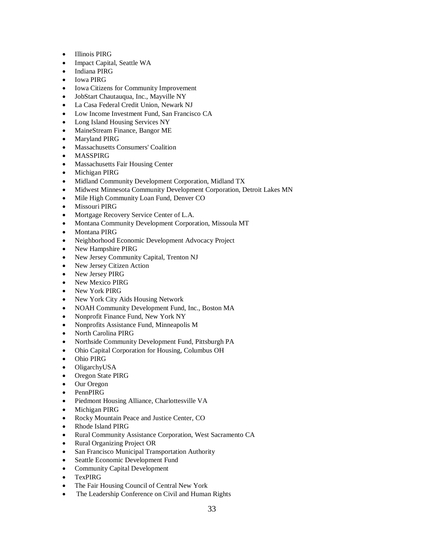- **•** Illinois PIRG
- Impact Capital, Seattle WA
- Indiana PIRG
- Iowa PIRG
- Iowa Citizens for Community Improvement
- JobStart Chautauqua, Inc., Mayville NY
- La Casa Federal Credit Union, Newark NJ
- Low Income Investment Fund, San Francisco CA
- Long Island Housing Services NY
- MaineStream Finance, Bangor ME
- Maryland PIRG
- Massachusetts Consumers' Coalition
- MASSPIRG
- Massachusetts Fair Housing Center
- Michigan PIRG
- Midland Community Development Corporation, Midland TX
- Midwest Minnesota Community Development Corporation, Detroit Lakes MN
- Mile High Community Loan Fund, Denver CO
- Missouri PIRG
- Mortgage Recovery Service Center of L.A.
- Montana Community Development Corporation, Missoula MT
- Montana PIRG
- Neighborhood Economic Development Advocacy Project
- New Hampshire PIRG
- New Jersey Community Capital, Trenton NJ
- New Jersey Citizen Action
- New Jersey PIRG
- New Mexico PIRG
- New York PIRG
- New York City Aids Housing Network
- NOAH Community Development Fund, Inc., Boston MA
- Nonprofit Finance Fund, New York NY
- Nonprofits Assistance Fund, Minneapolis M
- North Carolina PIRG
- Northside Community Development Fund, Pittsburgh PA
- Ohio Capital Corporation for Housing, Columbus OH
- Ohio PIRG
- OligarchyUSA
- Oregon State PIRG
- Our Oregon
- PennPIRG
- Piedmont Housing Alliance, Charlottesville VA
- Michigan PIRG
- Rocky Mountain Peace and Justice Center, CO
- Rhode Island PIRG
- Rural Community Assistance Corporation, West Sacramento CA
- Rural Organizing Project OR
- San Francisco Municipal Transportation Authority
- Seattle Economic Development Fund
- Community Capital Development
- TexPIRG
- The Fair Housing Council of Central New York
- The Leadership Conference on Civil and Human Rights